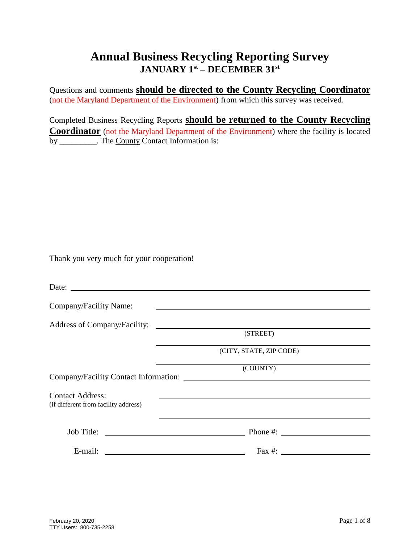Questions and comments **should be directed to the County Recycling Coordinator** (not the Maryland Department of the Environment) from which this survey was received.

Completed Business Recycling Reports **should be returned to the County Recycling Coordinator** (not the Maryland Department of the Environment) where the facility is located by **\_\_\_\_\_\_\_\_\_**. The County Contact Information is:

Thank you very much for your cooperation!

| Company/Facility Name:                                          |                                                                                                                      |
|-----------------------------------------------------------------|----------------------------------------------------------------------------------------------------------------------|
|                                                                 |                                                                                                                      |
|                                                                 | (STREET)                                                                                                             |
|                                                                 | (CITY, STATE, ZIP CODE)                                                                                              |
|                                                                 | (COUNTY)                                                                                                             |
| <b>Contact Address:</b><br>(if different from facility address) |                                                                                                                      |
|                                                                 |                                                                                                                      |
| E-mail:                                                         | <u> Alexandria de la contrada de la contrada de la contrada de la contrada de la contrada de la contrada de la c</u> |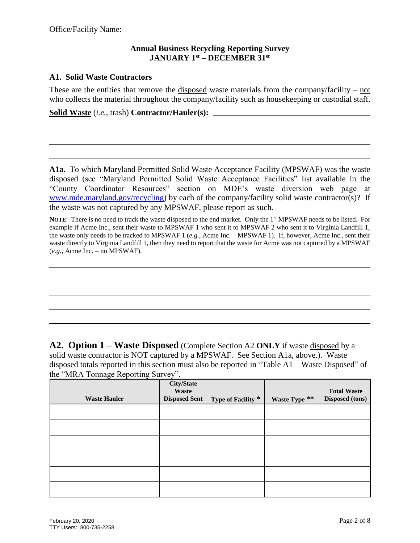#### **A1. Solid Waste Contractors**

These are the entities that remove the disposed waste materials from the company/facility – not who collects the material throughout the company/facility such as house keeping or custodial staff.

**Solid Waste** (*i.e.*, trash) **Contractor/Hauler(s):** 

**A1a.** To which Maryland Permitted Solid Waste Acceptance Facility (MPSWAF) was the waste disposed (see "Maryland Permitted Solid Waste Acceptance Facilities" list available in the "County Coordinator Resources" section on MDE's waste diversion web page at [www.mde.maryland.gov/recycling\)](http://www.mde.maryland.gov/recycling) by each of the company/facility solid waste contractor(s)?If the waste was not captured by any MPSWAF, please report as such.

**NOTE:** There is no need to track the waste disposed to the end market. Only the 1<sup>st</sup> MPSWAF needs to be listed. For example if Acme Inc., sent their waste to MPSWAF 1 who sent it to MPSWAF 2 who sent it to Virginia Landfill 1, the waste only needs to be tracked to MPSWAF 1 (*e.g.*, Acme Inc. – MPSWAF 1). If, however, Acme Inc., sent their waste directly to Virginia Landfill 1, then they need to report that the waste for Acme was not captured by a MPSWAF (*e.g.*, Acme Inc. – no MPSWAF).

**A2. Option 1 – Waste Disposed** (Complete Section A2 **ONLY** if waste disposed by a solid waste contractor is NOT captured by a MPSWAF. See Section A1a, above.). Waste disposed totals reported in this section must also be reported in "Table A1 – Waste Disposed" of the "MRA Tonnage Reporting Survey".

| <b>Waste Hauler</b> | <b>City/State</b><br>Waste<br><b>Disposed Sent</b> | Type of Facility * | Waste Type ** | <b>Total Waste</b><br><b>Disposed (tons)</b> |
|---------------------|----------------------------------------------------|--------------------|---------------|----------------------------------------------|
|                     |                                                    |                    |               |                                              |
|                     |                                                    |                    |               |                                              |
|                     |                                                    |                    |               |                                              |
|                     |                                                    |                    |               |                                              |
|                     |                                                    |                    |               |                                              |
|                     |                                                    |                    |               |                                              |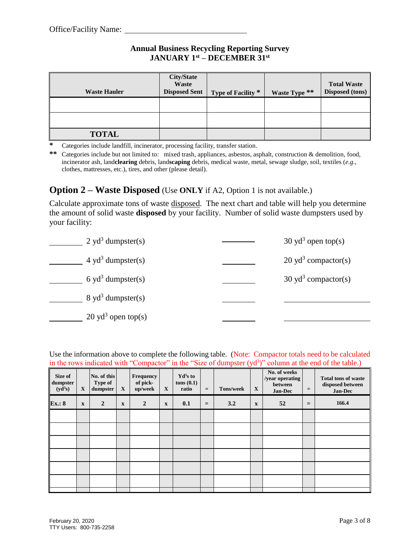| <b>Waste Hauler</b> | <b>City/State</b><br>Waste<br><b>Disposed Sent</b> | Type of Facility * | Waste Type ** | <b>Total Waste</b><br><b>Disposed (tons)</b> |
|---------------------|----------------------------------------------------|--------------------|---------------|----------------------------------------------|
|                     |                                                    |                    |               |                                              |
|                     |                                                    |                    |               |                                              |
| <b>TOTAL</b>        |                                                    |                    |               |                                              |

**\*** Categories include landfill, incinerator, processing facility, transfer station.

**\*\*** Categories include but not limited to: mixed trash, appliances, asbestos, asphalt, construction & demolition, food, incinerator ash, land**clearing** debris, land**scaping** debris, medical waste, metal, sewage sludge, soil, textiles (*e.g.*, clothes, mattresses, etc.), tires, and other (please detail).

### **Option 2 – Waste Disposed** (Use **ONLY** if A2, Option 1 is not available.)

Calculate approximate tons of waste disposed. The next chart and table will help you determine the amount of solid waste **disposed** by your facility. Number of solid waste dumpsters used by your facility:

| $2 \text{ yd}^3$ dumpster(s)  | $30 \text{ yd}^3$ open top(s)  |
|-------------------------------|--------------------------------|
| 4 yd <sup>3</sup> dumpster(s) | $20 \text{ yd}^3$ compactor(s) |
| 6 yd <sup>3</sup> dumpster(s) | $30 \text{ yd}^3$ compactor(s) |
| $8 \text{ yd}^3$ dumpster(s)  |                                |
| $20 \text{ yd}^3$ open top(s) |                                |

Use the information above to complete the following table. (Note: Compactor totals need to be calculated in the rows indicated with "Compactor" in the "Size of dumpster  $(yd<sup>3</sup>)$ " column at the end of the table.)

| Size of<br>dumpster<br>(yd <sup>3</sup> s) | $\mathbf X$  | No. of this<br><b>Type of</b><br>dumpster | $\mathbf X$ | <b>Frequency</b><br>of pick-<br>up/week | $\mathbf{X}$ | $\mathbf{Yd}^3\mathbf{s}$ to<br>tons(0.1)<br>ratio | $=$ | <b>Tons/week</b> | $\mathbf{X}$ | No. of weeks<br>/year operating<br>between<br>Jan-Dec | $=$ | <b>Total tons of waste</b><br>disposed between<br>Jan-Dec |
|--------------------------------------------|--------------|-------------------------------------------|-------------|-----------------------------------------|--------------|----------------------------------------------------|-----|------------------|--------------|-------------------------------------------------------|-----|-----------------------------------------------------------|
| <b>Ex.: 8</b>                              | $\mathbf{X}$ | $\overline{2}$                            | $\mathbf X$ | $\overline{2}$                          | $\mathbf{x}$ | 0.1                                                | $=$ | 3.2              | $\mathbf{x}$ | 52                                                    | $=$ | 166.4                                                     |
|                                            |              |                                           |             |                                         |              |                                                    |     |                  |              |                                                       |     |                                                           |
|                                            |              |                                           |             |                                         |              |                                                    |     |                  |              |                                                       |     |                                                           |
|                                            |              |                                           |             |                                         |              |                                                    |     |                  |              |                                                       |     |                                                           |
|                                            |              |                                           |             |                                         |              |                                                    |     |                  |              |                                                       |     |                                                           |
|                                            |              |                                           |             |                                         |              |                                                    |     |                  |              |                                                       |     |                                                           |
|                                            |              |                                           |             |                                         |              |                                                    |     |                  |              |                                                       |     |                                                           |
|                                            |              |                                           |             |                                         |              |                                                    |     |                  |              |                                                       |     |                                                           |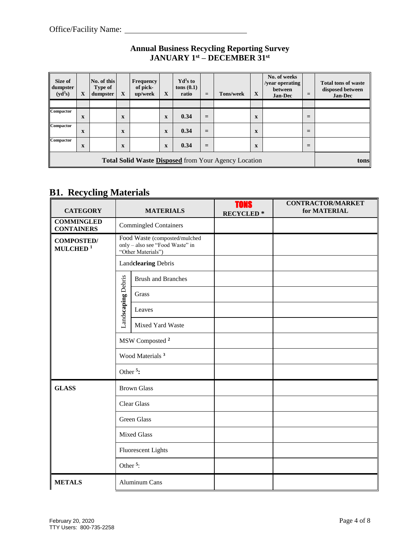| Size of<br>dumpster<br>(yd <sup>3</sup> s)           | X           | No. of this<br>Type of<br>dumpster | $\mathbf X$  | <b>Frequency</b><br>of pick-<br>up/week | X           | $\mathbf{Yd}^3\mathbf{s}$ to<br>tons(0.1)<br>ratio | $=$ | <b>Tons/week</b> | X           | No. of weeks<br>/year operating<br>between<br><b>Jan-Dec</b> | $=$ | <b>Total tons of waste</b><br>disposed between<br><b>Jan-Dec</b> |
|------------------------------------------------------|-------------|------------------------------------|--------------|-----------------------------------------|-------------|----------------------------------------------------|-----|------------------|-------------|--------------------------------------------------------------|-----|------------------------------------------------------------------|
|                                                      |             |                                    |              |                                         |             |                                                    |     |                  |             |                                                              |     |                                                                  |
| Compactor                                            | X           |                                    | X            |                                         | $\mathbf X$ | 0.34                                               | $=$ |                  | $\mathbf X$ |                                                              | $=$ |                                                                  |
| Compactor                                            | $\mathbf x$ |                                    | $\mathbf{x}$ |                                         | $\mathbf X$ | 0.34                                               | $=$ |                  | X           |                                                              | $=$ |                                                                  |
| Compactor                                            | X           |                                    | $\mathbf X$  |                                         | $\mathbf X$ | 0.34                                               | $=$ |                  | $\mathbf x$ |                                                              | $=$ |                                                                  |
| Total Solid Waste Disposed from Your Agency Location |             |                                    |              |                                         |             |                                                    |     | tons             |             |                                                              |     |                                                                  |

## **B1. Recycling Materials**

| <b>CATEGORY</b>                           | <b>MATERIALS</b>                                                                       | <b>TONS</b><br><b>RECYCLED*</b> | <b>CONTRACTOR/MARKET</b><br>for MATERIAL |
|-------------------------------------------|----------------------------------------------------------------------------------------|---------------------------------|------------------------------------------|
| <b>COMMINGLED</b><br><b>CONTAINERS</b>    | <b>Commingled Containers</b>                                                           |                                 |                                          |
| <b>COMPOSTED/</b><br>MULCHED <sup>1</sup> | Food Waste (composted/mulched<br>only - also see "Food Waste" in<br>"Other Materials") |                                 |                                          |
|                                           | Landclearing Debris                                                                    |                                 |                                          |
|                                           | <b>Brush and Branches</b>                                                              |                                 |                                          |
|                                           | Landscaping Debris<br>Grass                                                            |                                 |                                          |
|                                           | Leaves                                                                                 |                                 |                                          |
|                                           | Mixed Yard Waste                                                                       |                                 |                                          |
|                                           | MSW Composted <sup>2</sup>                                                             |                                 |                                          |
|                                           | Wood Materials <sup>3</sup>                                                            |                                 |                                          |
|                                           | Other <sup>5</sup> :                                                                   |                                 |                                          |
| <b>GLASS</b>                              | <b>Brown Glass</b>                                                                     |                                 |                                          |
|                                           | <b>Clear Glass</b>                                                                     |                                 |                                          |
|                                           | <b>Green Glass</b>                                                                     |                                 |                                          |
|                                           | <b>Mixed Glass</b>                                                                     |                                 |                                          |
|                                           | <b>Fluorescent Lights</b>                                                              |                                 |                                          |
|                                           | Other <sup><math>5</math></sup> :                                                      |                                 |                                          |
| <b>METALS</b>                             | Aluminum Cans                                                                          |                                 |                                          |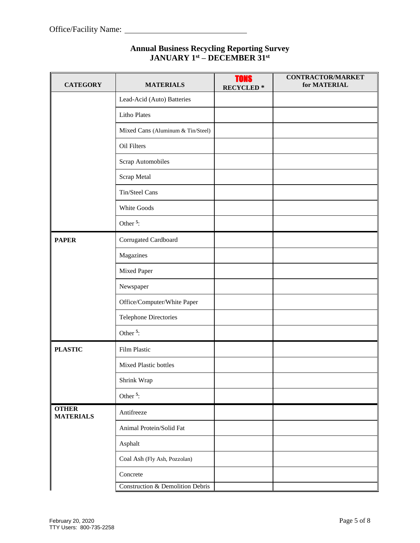| <b>CATEGORY</b>                  | <b>MATERIALS</b>                            | <b>TONS</b><br><b>RECYCLED*</b> | <b>CONTRACTOR/MARKET</b><br>for MATERIAL |
|----------------------------------|---------------------------------------------|---------------------------------|------------------------------------------|
|                                  | Lead-Acid (Auto) Batteries                  |                                 |                                          |
|                                  | <b>Litho Plates</b>                         |                                 |                                          |
|                                  | Mixed Cans (Aluminum & Tin/Steel)           |                                 |                                          |
|                                  | Oil Filters                                 |                                 |                                          |
|                                  | Scrap Automobiles                           |                                 |                                          |
|                                  | Scrap Metal                                 |                                 |                                          |
|                                  | Tin/Steel Cans                              |                                 |                                          |
|                                  | White Goods                                 |                                 |                                          |
|                                  | Other <sup><math>5</math></sup> :           |                                 |                                          |
| <b>PAPER</b>                     | Corrugated Cardboard                        |                                 |                                          |
|                                  | Magazines                                   |                                 |                                          |
|                                  | Mixed Paper                                 |                                 |                                          |
|                                  | Newspaper                                   |                                 |                                          |
|                                  | Office/Computer/White Paper                 |                                 |                                          |
|                                  | <b>Telephone Directories</b>                |                                 |                                          |
|                                  | Other <sup>5</sup> :                        |                                 |                                          |
| <b>PLASTIC</b>                   | Film Plastic                                |                                 |                                          |
|                                  | Mixed Plastic bottles                       |                                 |                                          |
|                                  | Shrink Wrap                                 |                                 |                                          |
|                                  | Other <sup><math>5</math></sup> :           |                                 |                                          |
| <b>OTHER</b><br><b>MATERIALS</b> | Antifreeze                                  |                                 |                                          |
|                                  | Animal Protein/Solid Fat                    |                                 |                                          |
|                                  | Asphalt                                     |                                 |                                          |
|                                  | Coal Ash (Fly Ash, Pozzolan)                |                                 |                                          |
|                                  | Concrete                                    |                                 |                                          |
|                                  | <b>Construction &amp; Demolition Debris</b> |                                 |                                          |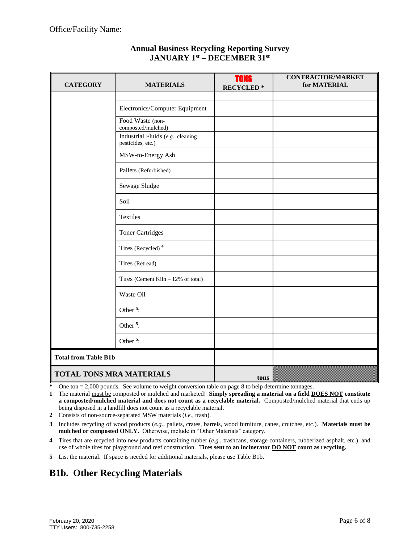| <b>CATEGORY</b>                 | <b>MATERIALS</b>                                       | <b>TONS</b><br><b>RECYCLED*</b> | <b>CONTRACTOR/MARKET</b><br>for MATERIAL |
|---------------------------------|--------------------------------------------------------|---------------------------------|------------------------------------------|
|                                 |                                                        |                                 |                                          |
|                                 | Electronics/Computer Equipment                         |                                 |                                          |
|                                 | Food Waste (non-<br>composted/mulched)                 |                                 |                                          |
|                                 | Industrial Fluids (e.g., cleaning<br>pesticides, etc.) |                                 |                                          |
|                                 | MSW-to-Energy Ash                                      |                                 |                                          |
|                                 | Pallets (Refurbished)                                  |                                 |                                          |
|                                 | Sewage Sludge                                          |                                 |                                          |
|                                 | Soil                                                   |                                 |                                          |
|                                 | Textiles                                               |                                 |                                          |
|                                 | <b>Toner Cartridges</b>                                |                                 |                                          |
|                                 | Tires (Recycled) <sup>4</sup>                          |                                 |                                          |
|                                 | Tires (Retread)                                        |                                 |                                          |
|                                 | Tires (Cement Kiln $-12%$ of total)                    |                                 |                                          |
|                                 | Waste Oil                                              |                                 |                                          |
|                                 | Other <sup>5</sup> :                                   |                                 |                                          |
|                                 | Other <sup>5</sup> :                                   |                                 |                                          |
|                                 | Other <sup><math>5</math></sup> :                      |                                 |                                          |
| <b>Total from Table B1b</b>     |                                                        |                                 |                                          |
| <b>TOTAL TONS MRA MATERIALS</b> |                                                        | tons                            |                                          |

One ton = 2,000 pounds. See volume to weight conversion table on page 8 to help determine tonnages.

**1** The material must be composted or mulched and marketed! **Simply spreading a material on a field DOES NOT constitute a composted/mulched material and does not count as a recyclable material.** Composted/mulched material that ends up being disposed in a landfill does not count as a recyclable material.

**2** Consists of non-source-separated MSW materials (*i.e.*, trash).

**3** Includes recycling of wood products (*e.g.*, pallets, crates, barrels, wood furniture, canes, crutches, etc.). **Materials must be mulched or composted ONLY.** Otherwise, include in "Other Materials" category.

**4** Tires that are recycled into new products containing rubber (*e.g.*, trashcans, storage containers, rubberized asphalt, etc.), and use of whole tires for playground and reef construction. T**ires sent to an incinerator DO NOT count as recycling.**

**5** List the material. If space is needed for additional materials, please use Table B1b.

## **B1b. Other Recycling Materials**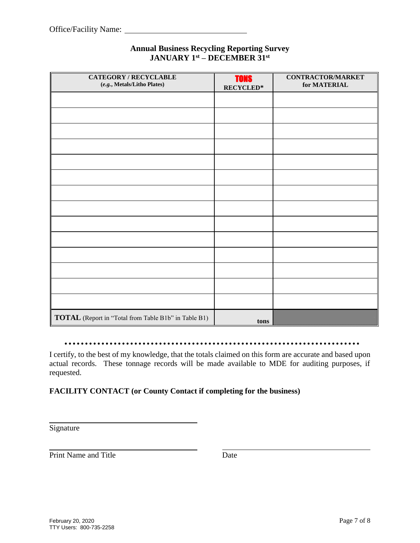| <b>CATEGORY / RECYCLABLE</b><br>(e.g., Metals/Litho Plates) | <b>TONS</b><br>$RECYCLED*$ | <b>CONTRACTOR/MARKET</b><br>for MATERIAL |
|-------------------------------------------------------------|----------------------------|------------------------------------------|
|                                                             |                            |                                          |
|                                                             |                            |                                          |
|                                                             |                            |                                          |
|                                                             |                            |                                          |
|                                                             |                            |                                          |
|                                                             |                            |                                          |
|                                                             |                            |                                          |
|                                                             |                            |                                          |
|                                                             |                            |                                          |
|                                                             |                            |                                          |
|                                                             |                            |                                          |
|                                                             |                            |                                          |
|                                                             |                            |                                          |
| TOTAL (Report in "Total from Table B1b" in Table B1)        |                            |                                          |
|                                                             | tons                       |                                          |

#### 

I certify, to the best of my knowledge, that the totals claimed on this form are accurate and based upon actual records. These tonnage records will be made available to MDE for auditing purposes, if requested.

### **FACILITY CONTACT (or County Contact if completing for the business)**

Signature

Print Name and Title Date